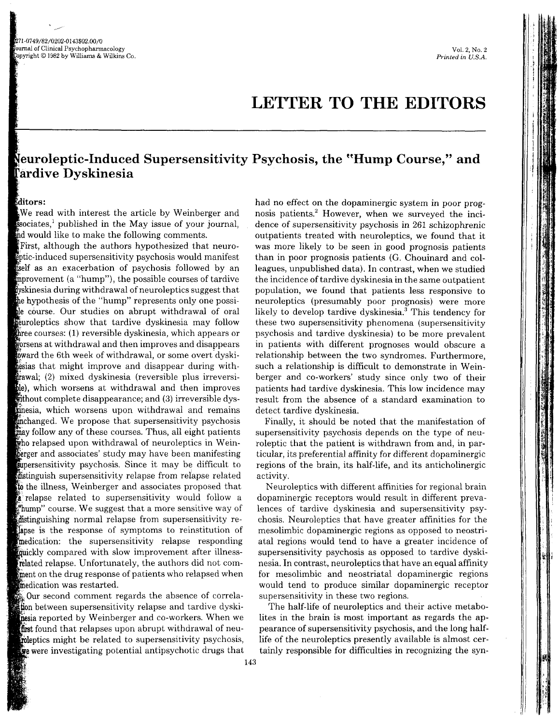## LETTER TO THE EDITORS

## euroleptic-Induced Supersensitivity Psychosis, the "Hump Course," and Tardive Dyskinesia

## tditors:

We read with interest the article by Weinberger and  $\mathbf{\hat{s}}$ sociates,<sup>1</sup> published in the May issue of your journal, ind would like to make the following comments.

First, although the authors hypothesized that neuro- -induced supersensitivity psychosis would manifest as an exacerbation of psychosis followed by an ment (a "hump"), the possible courses of tardive **i**ly is during withdrawal of neuroleptics suggest that hypothesis of the "hump" represents only one possile course. Our studies on abrupt withdrawal of oral leptics show that tardive dyskinesia may follow three courses: (1) reversible dyskinesia, which appears or ns at withdrawal and then improves and disappears  $t$  ward the 6th week of withdrawal, or some overt dyskihesias that might improve and disappear during withgrawal; (2) mixed dyskinesia (reversible plus irreversible), which worsens at withdrawal and then improves without complete disappearance; and  $(3)$  irreversible dysinesia, which worsens upon withdrawal and remains michanged. We propose that supersensitivity psychosis may follow any of these courses. Thus, all eight patients  $\mathbf{\hat{w}}$ ho relapsed upon withdrawal of neuroleptics in Weinberger and associates' study may have been manifesting supersensitivity psychosis. Since it may be difficult to inguish supersensitivity relapse from relapse related to the illness, Weinberger and associates proposed that <sup>\*</sup>**relapse** related to supersensitivity would follow a "hump" course. We suggest that a more sensitive way of distinguishing normal relapse from supersensitivity relapse is the response of symptoms to reinstitution of medication: the supersensitivity relapse responding ickly compared with slow improvement after illnessrelated relapse. Unfortunately, the authors did not comment on the drug response of patients who relapsed when medication was restarted.

Our second comment regards the absence of correlation between supersensitivity relapse and tardive dyskimesia reported by Weinberger and co-workers. When we first found that relapses upon abrupt withdrawal of neumoleptics might be related to supersensitivity psychosis, we were investigating potential antipsychotic drugs that

had no effect on the dopaminergic system in poor prognosis patients. $2$  However, when we surveyed the incidence of supersensitivity psychosis in 261 schizophrenic outpatients treated with neuroleptics, we found that it was more likely to be seen in good prognosis patients than in poor prognosis patients (G. Chouinard and colleagues, unpublished data). In contrast, when we studied the incidence of tardive dyskinesia in the same outpatient population, we found that patients less responsive to neuroleptics (presumably poor prognosis) were more likely to develop tardive dyskinesia.<sup>3</sup> This tendency for these two supersensitivity phenomena (supersensitivity psychosis and tardive dyskinesia) to be more prevalent in patients with different prognoses would obscure a relationship between the two syndromes. Furthermore, such a relationship is diffrcult to demonstrate in Weinberger and co-workers' study since only two of their patients had tardive dyskinesia. This low incidence may result from the absence of a standard examination to detect tardive dyskinesia.

Finally, it should be noted that the manifestation of supersensitivity psychosis depends on the type of neuroleptic that the patient is withdrawn from and, in particular, its preferential affinity for different dopaminergic regions of the brain, its half-life, and its anticholinergic activity.

Neuroleptics with different affinities for regional brain dopaminergic receptors would result in different preva-Iences of tardive dyskinesia and supersensitivity psychosis. Neuroleptics that have greater affinities for the mesolimbic dopaminergic regions as opposed to neostriatal regions would tend to have a greater incidence of supersensitivity psychosis as opposed to tardive dyskinesia. In contrast, neuroleptics that have an equal affinity for mesolimbic and neostriatal dopaminergic regions would tend to produce similar dopaminergic receptor supersensitivity in these two regions.

The half-life of neuroleptics and their active metabolites in the brain is most important as regards the appearance of supersensitivity psychosis, and the long halflife of the neuroleptics presently available is almost certainly responsible for difficulties in recognizing the syn-